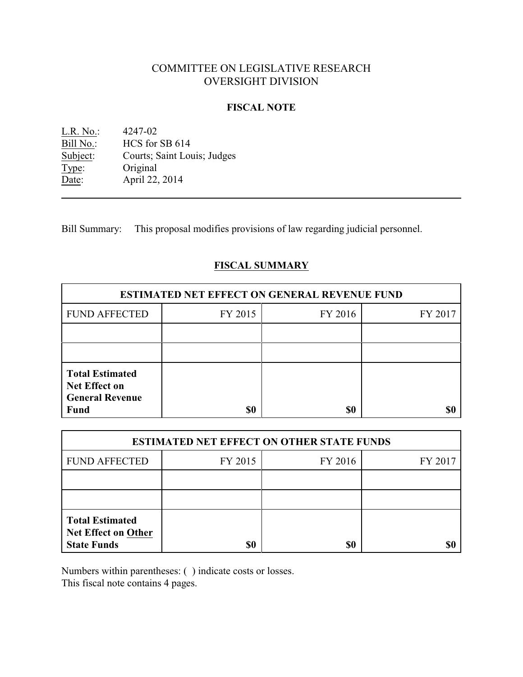# COMMITTEE ON LEGISLATIVE RESEARCH OVERSIGHT DIVISION

## **FISCAL NOTE**

| L.R. No.: | 4247-02                     |
|-----------|-----------------------------|
| Bill No.: | HCS for SB 614              |
| Subject:  | Courts; Saint Louis; Judges |
| Type:     | Original                    |
| Date:     | April 22, 2014              |

Bill Summary: This proposal modifies provisions of law regarding judicial personnel.

# **FISCAL SUMMARY**

| <b>ESTIMATED NET EFFECT ON GENERAL REVENUE FUND</b>                                     |         |         |         |  |
|-----------------------------------------------------------------------------------------|---------|---------|---------|--|
| <b>FUND AFFECTED</b>                                                                    | FY 2015 | FY 2016 | FY 2017 |  |
|                                                                                         |         |         |         |  |
|                                                                                         |         |         |         |  |
| <b>Total Estimated</b><br><b>Net Effect on</b><br><b>General Revenue</b><br><b>Fund</b> | \$0     | \$0     |         |  |

| <b>ESTIMATED NET EFFECT ON OTHER STATE FUNDS</b>                           |         |         |         |  |
|----------------------------------------------------------------------------|---------|---------|---------|--|
| <b>FUND AFFECTED</b>                                                       | FY 2015 | FY 2016 | FY 2017 |  |
|                                                                            |         |         |         |  |
|                                                                            |         |         |         |  |
| <b>Total Estimated</b><br><b>Net Effect on Other</b><br><b>State Funds</b> | \$0     | \$0     |         |  |

Numbers within parentheses: ( ) indicate costs or losses.

This fiscal note contains 4 pages.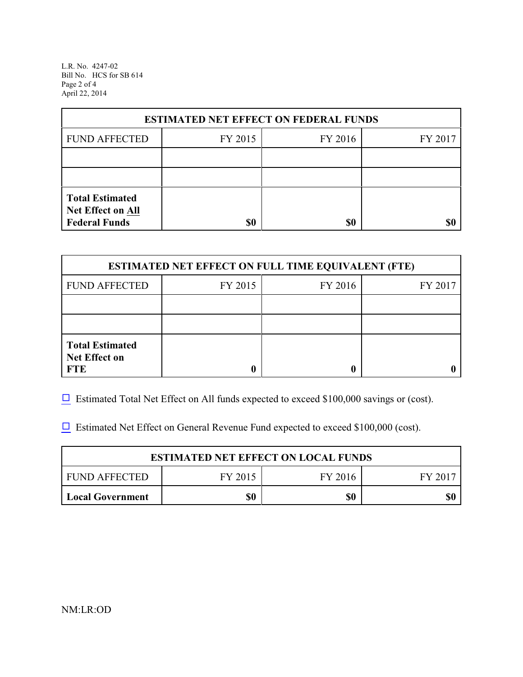L.R. No. 4247-02 Bill No. HCS for SB 614 Page 2 of 4 April 22, 2014

| <b>ESTIMATED NET EFFECT ON FEDERAL FUNDS</b>                        |         |         |         |  |
|---------------------------------------------------------------------|---------|---------|---------|--|
| <b>FUND AFFECTED</b>                                                | FY 2015 | FY 2016 | FY 2017 |  |
|                                                                     |         |         |         |  |
|                                                                     |         |         |         |  |
| <b>Total Estimated</b><br>Net Effect on All<br><b>Federal Funds</b> | \$0     | \$0     |         |  |

| <b>ESTIMATED NET EFFECT ON FULL TIME EQUIVALENT (FTE)</b>    |         |         |         |  |
|--------------------------------------------------------------|---------|---------|---------|--|
| <b>FUND AFFECTED</b>                                         | FY 2015 | FY 2016 | FY 2017 |  |
|                                                              |         |         |         |  |
|                                                              |         |         |         |  |
| <b>Total Estimated</b><br><b>Net Effect on</b><br><b>FTE</b> |         |         |         |  |

 $\Box$  Estimated Total Net Effect on All funds expected to exceed \$100,000 savings or (cost).

 $\Box$  Estimated Net Effect on General Revenue Fund expected to exceed \$100,000 (cost).

| <b>ESTIMATED NET EFFECT ON LOCAL FUNDS</b> |       |     |     |
|--------------------------------------------|-------|-----|-----|
| FUND AFFECTED                              | FY 20 |     |     |
| Local Government                           | \$0   | \$0 | \$0 |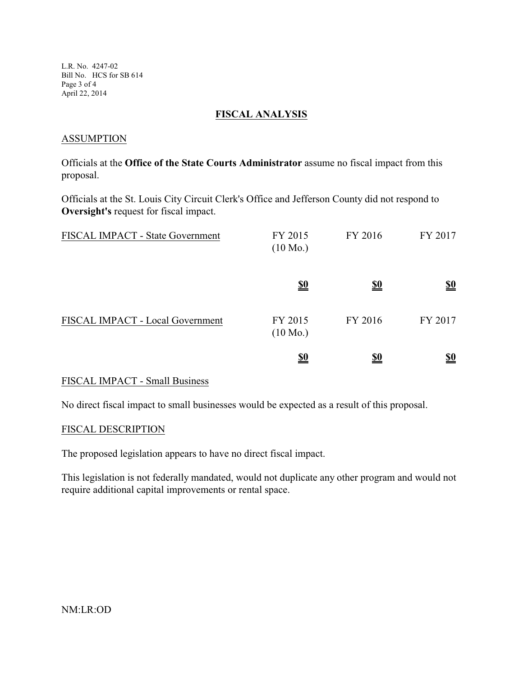L.R. No. 4247-02 Bill No. HCS for SB 614 Page 3 of 4 April 22, 2014

#### **FISCAL ANALYSIS**

#### **ASSUMPTION**

Officials at the **Office of the State Courts Administrator** assume no fiscal impact from this proposal.

Officials at the St. Louis City Circuit Clerk's Office and Jefferson County did not respond to **Oversight's** request for fiscal impact.

| FISCAL IMPACT - State Government | FY 2015<br>$(10 \text{ Mo.})$ | FY 2016    | FY 2017                       |
|----------------------------------|-------------------------------|------------|-------------------------------|
|                                  | <u>\$0</u>                    | <u>\$0</u> | $\underline{\underline{\$0}}$ |
| FISCAL IMPACT - Local Government | FY 2015<br>$(10 \text{ Mo.})$ | FY 2016    | FY 2017                       |
|                                  | <u>\$0</u>                    | <u>\$0</u> | <u>\$0</u>                    |

## FISCAL IMPACT - Small Business

No direct fiscal impact to small businesses would be expected as a result of this proposal.

#### FISCAL DESCRIPTION

The proposed legislation appears to have no direct fiscal impact.

This legislation is not federally mandated, would not duplicate any other program and would not require additional capital improvements or rental space.